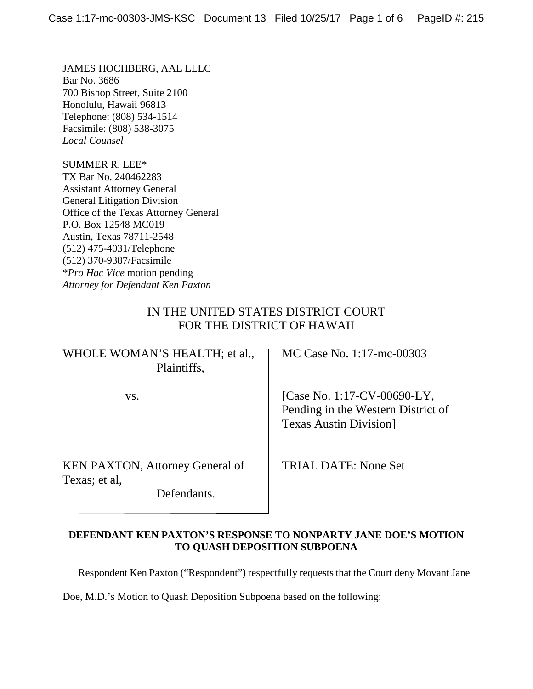JAMES HOCHBERG, AAL LLLC Bar No. 3686 700 Bishop Street, Suite 2100 Honolulu, Hawaii 96813 Telephone: (808) 534-1514 Facsimile: (808) 538-3075 *Local Counsel*

SUMMER R. LEE\* TX Bar No. 240462283 Assistant Attorney General General Litigation Division Office of the Texas Attorney General P.O. Box 12548 MC019 Austin, Texas 78711-2548 (512) 475-4031/Telephone (512) 370-9387/Facsimile \**Pro Hac Vice* motion pending *Attorney for Defendant Ken Paxton*

### IN THE UNITED STATES DISTRICT COURT FOR THE DISTRICT OF HAWAII

# WHOLE WOMAN'S HEALTH; et al., | MC Case No. 1:17-mc-00303 Plaintiffs,

KEN PAXTON, Attorney General of TRIAL DATE: None Set Texas; et al,

Defendants.

vs. [Case No. 1:17-CV-00690-LY, Pending in the Western District of Texas Austin Division]

### **DEFENDANT KEN PAXTON'S RESPONSE TO NONPARTY JANE DOE'S MOTION TO QUASH DEPOSITION SUBPOENA**

Respondent Ken Paxton ("Respondent") respectfully requests that the Court deny Movant Jane

Doe, M.D.'s Motion to Quash Deposition Subpoena based on the following: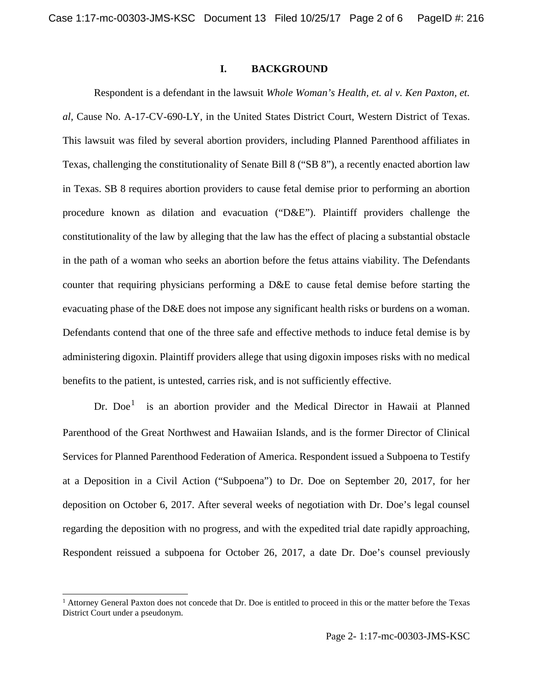#### **I. BACKGROUND**

Respondent is a defendant in the lawsuit *Whole Woman's Health, et. al v. Ken Paxton, et. al,* Cause No. A-17-CV-690-LY, in the United States District Court, Western District of Texas. This lawsuit was filed by several abortion providers, including Planned Parenthood affiliates in Texas, challenging the constitutionality of Senate Bill 8 ("SB 8"), a recently enacted abortion law in Texas. SB 8 requires abortion providers to cause fetal demise prior to performing an abortion procedure known as dilation and evacuation ("D&E"). Plaintiff providers challenge the constitutionality of the law by alleging that the law has the effect of placing a substantial obstacle in the path of a woman who seeks an abortion before the fetus attains viability. The Defendants counter that requiring physicians performing a D&E to cause fetal demise before starting the evacuating phase of the D&E does not impose any significant health risks or burdens on a woman. Defendants contend that one of the three safe and effective methods to induce fetal demise is by administering digoxin. Plaintiff providers allege that using digoxin imposes risks with no medical benefits to the patient, is untested, carries risk, and is not sufficiently effective.

Dr.  $Doe<sup>1</sup>$  $Doe<sup>1</sup>$  $Doe<sup>1</sup>$  is an abortion provider and the Medical Director in Hawaii at Planned Parenthood of the Great Northwest and Hawaiian Islands, and is the former Director of Clinical Services for Planned Parenthood Federation of America. Respondent issued a Subpoena to Testify at a Deposition in a Civil Action ("Subpoena") to Dr. Doe on September 20, 2017, for her deposition on October 6, 2017. After several weeks of negotiation with Dr. Doe's legal counsel regarding the deposition with no progress, and with the expedited trial date rapidly approaching, Respondent reissued a subpoena for October 26, 2017, a date Dr. Doe's counsel previously

<span id="page-1-0"></span><sup>&</sup>lt;sup>1</sup> Attorney General Paxton does not concede that Dr. Doe is entitled to proceed in this or the matter before the Texas District Court under a pseudonym.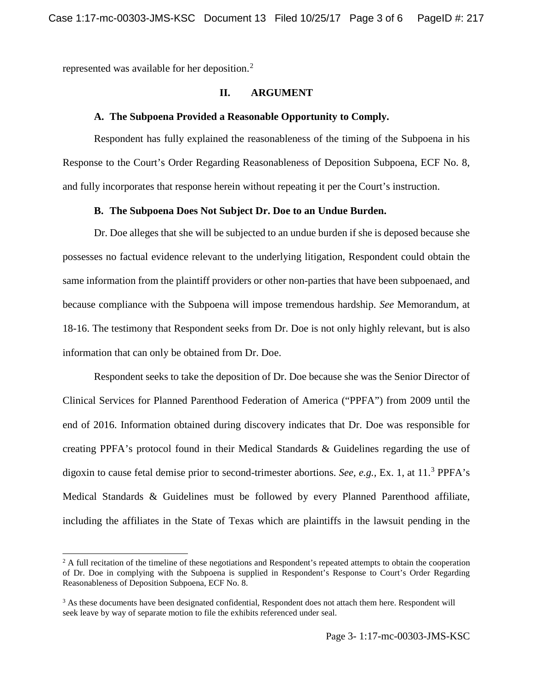represented was available for her deposition.<sup>[2](#page-2-0)</sup>

#### **II. ARGUMENT**

#### **A. The Subpoena Provided a Reasonable Opportunity to Comply.**

Respondent has fully explained the reasonableness of the timing of the Subpoena in his Response to the Court's Order Regarding Reasonableness of Deposition Subpoena, ECF No. 8, and fully incorporates that response herein without repeating it per the Court's instruction.

#### **B. The Subpoena Does Not Subject Dr. Doe to an Undue Burden.**

Dr. Doe alleges that she will be subjected to an undue burden if she is deposed because she possesses no factual evidence relevant to the underlying litigation, Respondent could obtain the same information from the plaintiff providers or other non-parties that have been subpoenaed, and because compliance with the Subpoena will impose tremendous hardship. *See* Memorandum, at 18-16. The testimony that Respondent seeks from Dr. Doe is not only highly relevant, but is also information that can only be obtained from Dr. Doe.

Respondent seeks to take the deposition of Dr. Doe because she was the Senior Director of Clinical Services for Planned Parenthood Federation of America ("PPFA") from 2009 until the end of 2016. Information obtained during discovery indicates that Dr. Doe was responsible for creating PPFA's protocol found in their Medical Standards & Guidelines regarding the use of digoxin to cause fetal demise prior to second-trimester abortions. *See, e.g.,* Ex. 1, at 11. [3](#page-2-1) PPFA's Medical Standards & Guidelines must be followed by every Planned Parenthood affiliate, including the affiliates in the State of Texas which are plaintiffs in the lawsuit pending in the

<span id="page-2-0"></span> $2$  A full recitation of the timeline of these negotiations and Respondent's repeated attempts to obtain the cooperation of Dr. Doe in complying with the Subpoena is supplied in Respondent's Response to Court's Order Regarding Reasonableness of Deposition Subpoena, ECF No. 8.

<span id="page-2-1"></span><sup>&</sup>lt;sup>3</sup> As these documents have been designated confidential, Respondent does not attach them here. Respondent will seek leave by way of separate motion to file the exhibits referenced under seal.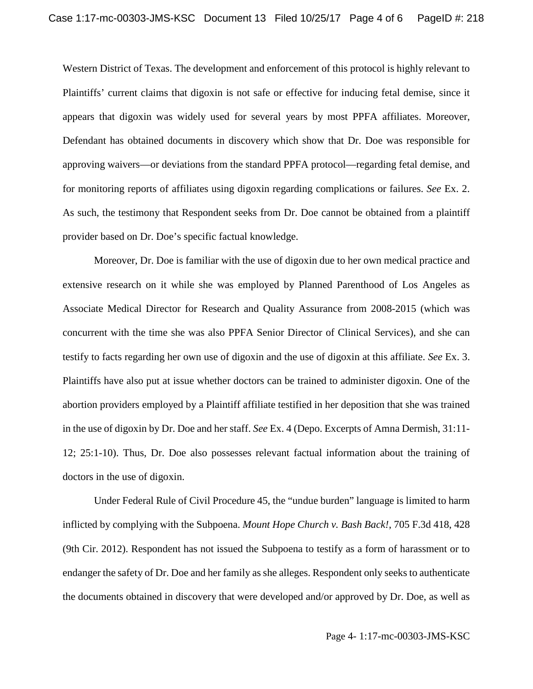Western District of Texas. The development and enforcement of this protocol is highly relevant to Plaintiffs' current claims that digoxin is not safe or effective for inducing fetal demise, since it appears that digoxin was widely used for several years by most PPFA affiliates. Moreover, Defendant has obtained documents in discovery which show that Dr. Doe was responsible for approving waivers—or deviations from the standard PPFA protocol—regarding fetal demise, and for monitoring reports of affiliates using digoxin regarding complications or failures. *See* Ex. 2. As such, the testimony that Respondent seeks from Dr. Doe cannot be obtained from a plaintiff provider based on Dr. Doe's specific factual knowledge.

Moreover, Dr. Doe is familiar with the use of digoxin due to her own medical practice and extensive research on it while she was employed by Planned Parenthood of Los Angeles as Associate Medical Director for Research and Quality Assurance from 2008-2015 (which was concurrent with the time she was also PPFA Senior Director of Clinical Services), and she can testify to facts regarding her own use of digoxin and the use of digoxin at this affiliate. *See* Ex. 3. Plaintiffs have also put at issue whether doctors can be trained to administer digoxin. One of the abortion providers employed by a Plaintiff affiliate testified in her deposition that she was trained in the use of digoxin by Dr. Doe and her staff. *See* Ex. 4 (Depo. Excerpts of Amna Dermish, 31:11- 12; 25:1-10). Thus, Dr. Doe also possesses relevant factual information about the training of doctors in the use of digoxin.

Under Federal Rule of Civil Procedure 45, the "undue burden" language is limited to harm inflicted by complying with the Subpoena. *Mount Hope Church v. Bash Back!*, 705 F.3d 418, 428 (9th Cir. 2012). Respondent has not issued the Subpoena to testify as a form of harassment or to endanger the safety of Dr. Doe and her family as she alleges. Respondent only seeks to authenticate the documents obtained in discovery that were developed and/or approved by Dr. Doe, as well as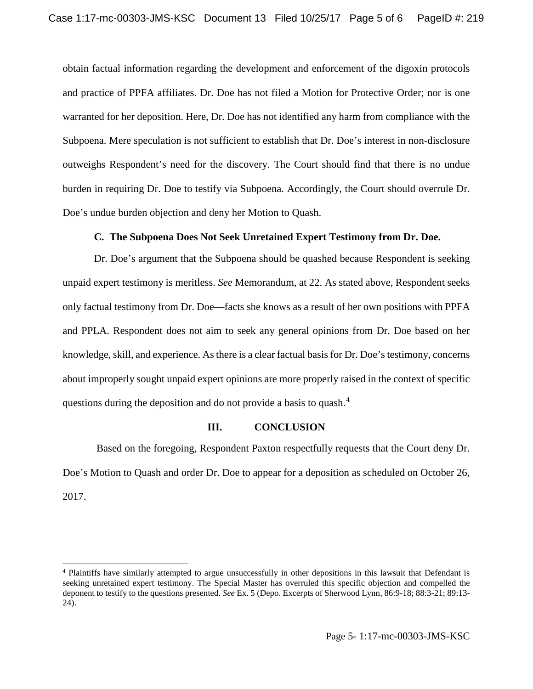obtain factual information regarding the development and enforcement of the digoxin protocols and practice of PPFA affiliates. Dr. Doe has not filed a Motion for Protective Order; nor is one warranted for her deposition. Here, Dr. Doe has not identified any harm from compliance with the Subpoena. Mere speculation is not sufficient to establish that Dr. Doe's interest in non-disclosure outweighs Respondent's need for the discovery. The Court should find that there is no undue burden in requiring Dr. Doe to testify via Subpoena. Accordingly, the Court should overrule Dr. Doe's undue burden objection and deny her Motion to Quash.

### **C. The Subpoena Does Not Seek Unretained Expert Testimony from Dr. Doe.**

Dr. Doe's argument that the Subpoena should be quashed because Respondent is seeking unpaid expert testimony is meritless. *See* Memorandum, at 22. As stated above, Respondent seeks only factual testimony from Dr. Doe—facts she knows as a result of her own positions with PPFA and PPLA. Respondent does not aim to seek any general opinions from Dr. Doe based on her knowledge, skill, and experience. As there is a clear factual basis for Dr. Doe's testimony, concerns about improperly sought unpaid expert opinions are more properly raised in the context of specific questions during the deposition and do not provide a basis to quash.<sup>[4](#page-4-0)</sup>

#### **III. CONCLUSION**

Based on the foregoing, Respondent Paxton respectfully requests that the Court deny Dr. Doe's Motion to Quash and order Dr. Doe to appear for a deposition as scheduled on October 26, 2017.

<span id="page-4-0"></span> <sup>4</sup> Plaintiffs have similarly attempted to argue unsuccessfully in other depositions in this lawsuit that Defendant is seeking unretained expert testimony. The Special Master has overruled this specific objection and compelled the deponent to testify to the questions presented. *See* Ex. 5 (Depo. Excerpts of Sherwood Lynn, 86:9-18; 88:3-21; 89:13- 24).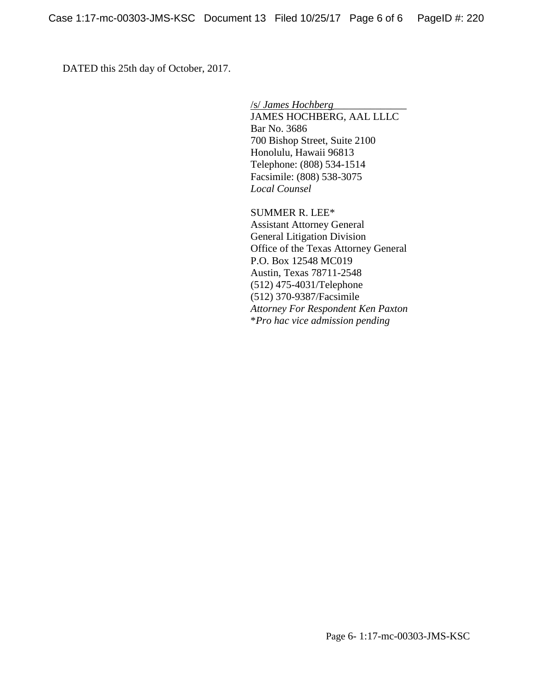DATED this 25th day of October, 2017.

/s/ *James Hochberg*\_\_\_\_\_\_\_\_\_\_\_\_\_\_ JAMES HOCHBERG, AAL LLLC Bar No. 3686 700 Bishop Street, Suite 2100 Honolulu, Hawaii 96813 Telephone: (808) 534-1514 Facsimile: (808) 538-3075 *Local Counsel*

SUMMER R. LEE\* Assistant Attorney General General Litigation Division Office of the Texas Attorney General P.O. Box 12548 MC019 Austin, Texas 78711-2548 (512) 475-4031/Telephone (512) 370-9387/Facsimile *Attorney For Respondent Ken Paxton* \**Pro hac vice admission pending*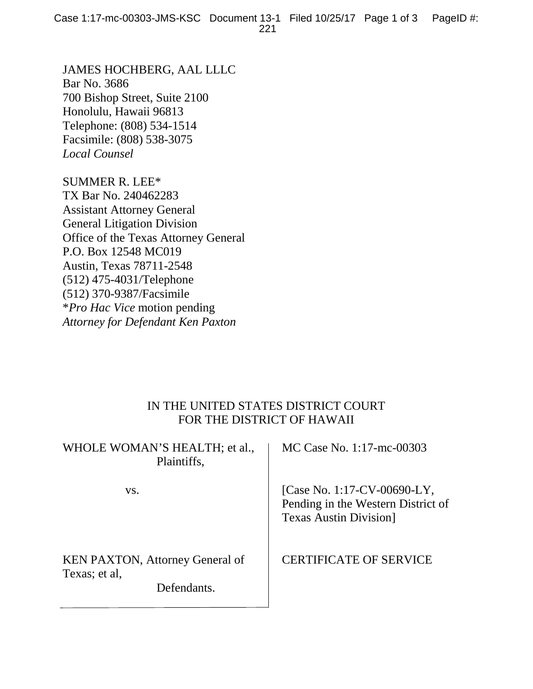JAMES HOCHBERG, AAL LLLC Bar No. 3686 700 Bishop Street, Suite 2100 Honolulu, Hawaii 96813 Telephone: (808) 534-1514 Facsimile: (808) 538-3075 *Local Counsel*

SUMMER R. LEE\* TX Bar No. 240462283 Assistant Attorney General General Litigation Division Office of the Texas Attorney General P.O. Box 12548 MC019 Austin, Texas 78711-2548 (512) 475-4031/Telephone (512) 370-9387/Facsimile \**Pro Hac Vice* motion pending *Attorney for Defendant Ken Paxton*

# IN THE UNITED STATES DISTRICT COURT FOR THE DISTRICT OF HAWAII

|                                                                        | WHOLE WOMAN'S HEALTH; et al.,<br>Plaintiffs, | MC Case No. 1:17-mc-00303                                                                         |
|------------------------------------------------------------------------|----------------------------------------------|---------------------------------------------------------------------------------------------------|
| VS.                                                                    |                                              | [Case No. 1:17-CV-00690-LY,<br>Pending in the Western District of<br><b>Texas Austin Division</b> |
| <b>KEN PAXTON, Attorney General of</b><br>Texas; et al,<br>Defendants. |                                              | <b>CERTIFICATE OF SERVICE</b>                                                                     |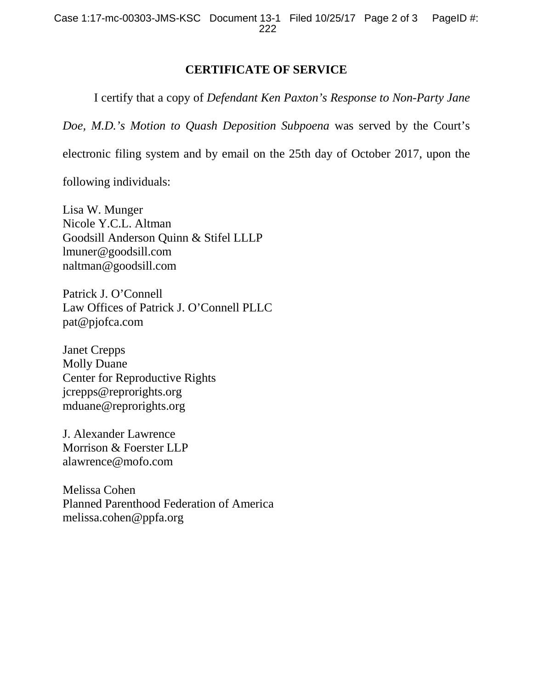## **CERTIFICATE OF SERVICE**

I certify that a copy of *Defendant Ken Paxton's Response to Non-Party Jane* 

*Doe, M.D.'s Motion to Quash Deposition Subpoena* was served by the Court's

electronic filing system and by email on the 25th day of October 2017, upon the

following individuals:

Lisa W. Munger Nicole Y.C.L. Altman Goodsill Anderson Quinn & Stifel LLLP lmuner@goodsill.com naltman@goodsill.com

Patrick J. O'Connell Law Offices of Patrick J. O'Connell PLLC pat@pjofca.com

Janet Crepps Molly Duane Center for Reproductive Rights jcrepps@reprorights.org mduane@reprorights.org

J. Alexander Lawrence Morrison & Foerster LLP alawrence@mofo.com

Melissa Cohen Planned Parenthood Federation of America melissa.cohen@ppfa.org